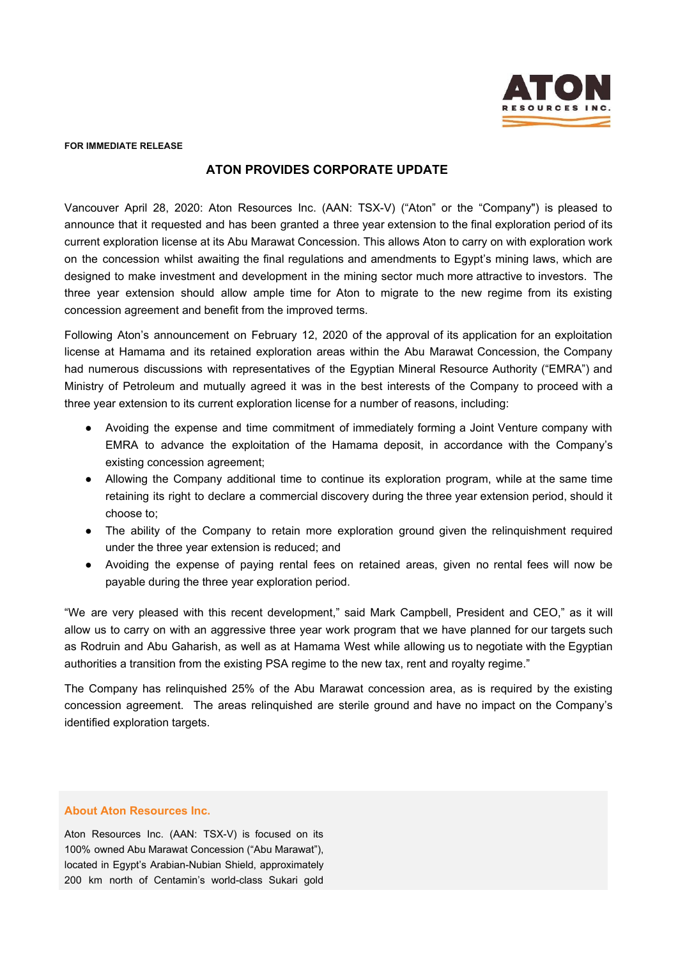

**FOR IMMEDIATE RELEASE**

## **ATON PROVIDES CORPORATE UPDATE**

Vancouver April 28, 2020: Aton Resources Inc. (AAN: TSX-V) ("Aton" or the "Company") is pleased to announce that it requested and has been granted a three year extension to the final exploration period of its current exploration license at its Abu Marawat Concession. This allows Aton to carry on with exploration work on the concession whilst awaiting the final regulations and amendments to Egypt's mining laws, which are designed to make investment and development in the mining sector much more attractive to investors. The three year extension should allow ample time for Aton to migrate to the new regime from its existing concession agreement and benefit from the improved terms.

Following Aton's announcement on February 12, 2020 of the approval of its application for an exploitation license at Hamama and its retained exploration areas within the Abu Marawat Concession, the Company had numerous discussions with representatives of the Egyptian Mineral Resource Authority ("EMRA") and Ministry of Petroleum and mutually agreed it was in the best interests of the Company to proceed with a three year extension to its current exploration license for a number of reasons, including:

- Avoiding the expense and time commitment of immediately forming a Joint Venture company with EMRA to advance the exploitation of the Hamama deposit, in accordance with the Company's existing concession agreement;
- Allowing the Company additional time to continue its exploration program, while at the same time retaining its right to declare a commercial discovery during the three year extension period, should it choose to;
- The ability of the Company to retain more exploration ground given the relinquishment required under the three year extension is reduced; and
- Avoiding the expense of paying rental fees on retained areas, given no rental fees will now be payable during the three year exploration period.

"We are very pleased with this recent development," said Mark Campbell, President and CEO," as it will allow us to carry on with an aggressive three year work program that we have planned for our targets such as Rodruin and Abu Gaharish, as well as at Hamama West while allowing us to negotiate with the Egyptian authorities a transition from the existing PSA regime to the new tax, rent and royalty regime."

The Company has relinquished 25% of the Abu Marawat concession area, as is required by the existing concession agreement. The areas relinquished are sterile ground and have no impact on the Company's identified exploration targets.

## **About Aton Resources Inc.**

Aton Resources Inc. (AAN: TSX-V) is focused on its 100% owned Abu Marawat Concession ("Abu Marawat"), located in Egypt's Arabian-Nubian Shield, approximately 200 km north of Centamin's world-class Sukari gold